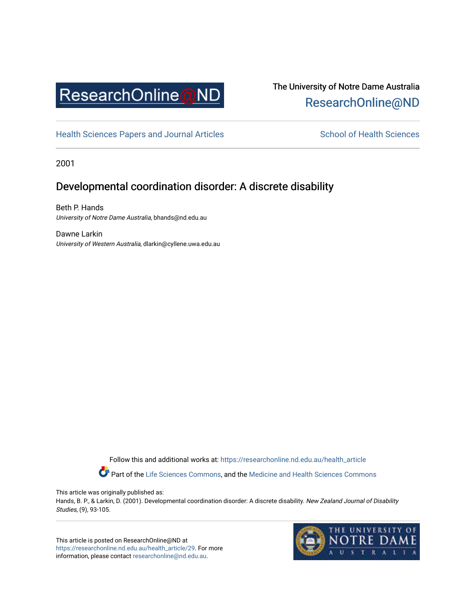

# The University of Notre Dame Australia [ResearchOnline@ND](https://researchonline.nd.edu.au/)

[Health Sciences Papers and Journal Articles](https://researchonline.nd.edu.au/health_article) School of Health Sciences

2001

# Developmental coordination disorder: A discrete disability

Beth P. Hands University of Notre Dame Australia, bhands@nd.edu.au

Dawne Larkin University of Western Australia, dlarkin@cyllene.uwa.edu.au

> Follow this and additional works at: [https://researchonline.nd.edu.au/health\\_article](https://researchonline.nd.edu.au/health_article?utm_source=researchonline.nd.edu.au%2Fhealth_article%2F29&utm_medium=PDF&utm_campaign=PDFCoverPages) Part of the [Life Sciences Commons](http://network.bepress.com/hgg/discipline/1016?utm_source=researchonline.nd.edu.au%2Fhealth_article%2F29&utm_medium=PDF&utm_campaign=PDFCoverPages), and the Medicine and Health Sciences Commons

This article was originally published as:

Hands, B. P., & Larkin, D. (2001). Developmental coordination disorder: A discrete disability. New Zealand Journal of Disability Studies, (9), 93-105.

This article is posted on ResearchOnline@ND at [https://researchonline.nd.edu.au/health\\_article/29.](https://researchonline.nd.edu.au/health_article/29) For more information, please contact [researchonline@nd.edu.au.](mailto:researchonline@nd.edu.au)

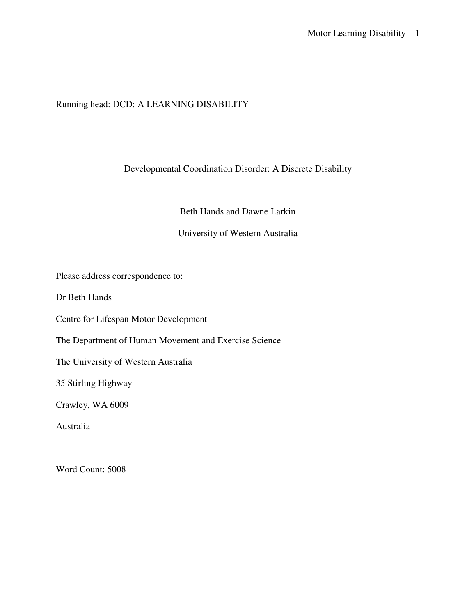# Running head: DCD: A LEARNING DISABILITY

# Developmental Coordination Disorder: A Discrete Disability

Beth Hands and Dawne Larkin

# University of Western Australia

Please address correspondence to:

Dr Beth Hands

Centre for Lifespan Motor Development

The Department of Human Movement and Exercise Science

The University of Western Australia

35 Stirling Highway

Crawley, WA 6009

Australia

Word Count: 5008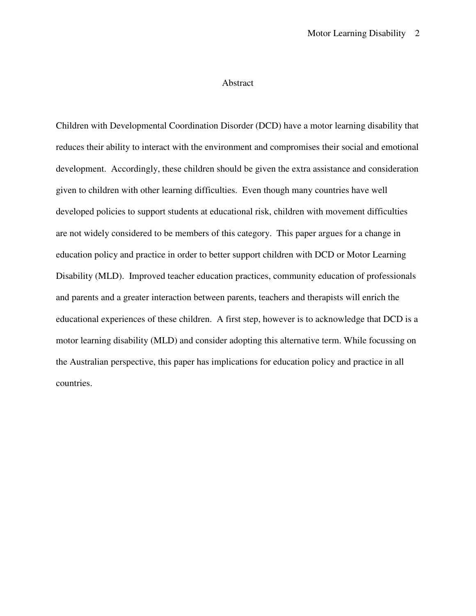### Abstract

Children with Developmental Coordination Disorder (DCD) have a motor learning disability that reduces their ability to interact with the environment and compromises their social and emotional development. Accordingly, these children should be given the extra assistance and consideration given to children with other learning difficulties. Even though many countries have well developed policies to support students at educational risk, children with movement difficulties are not widely considered to be members of this category. This paper argues for a change in education policy and practice in order to better support children with DCD or Motor Learning Disability (MLD). Improved teacher education practices, community education of professionals and parents and a greater interaction between parents, teachers and therapists will enrich the educational experiences of these children. A first step, however is to acknowledge that DCD is a motor learning disability (MLD) and consider adopting this alternative term. While focussing on the Australian perspective, this paper has implications for education policy and practice in all countries.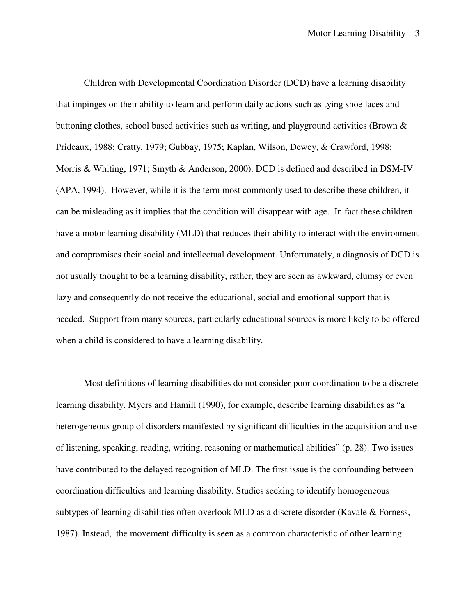Children with Developmental Coordination Disorder (DCD) have a learning disability that impinges on their ability to learn and perform daily actions such as tying shoe laces and buttoning clothes, school based activities such as writing, and playground activities (Brown  $\&$ Prideaux, 1988; Cratty, 1979; Gubbay, 1975; Kaplan, Wilson, Dewey, & Crawford, 1998; Morris & Whiting, 1971; Smyth & Anderson, 2000). DCD is defined and described in DSM-IV (APA, 1994). However, while it is the term most commonly used to describe these children, it can be misleading as it implies that the condition will disappear with age. In fact these children have a motor learning disability (MLD) that reduces their ability to interact with the environment and compromises their social and intellectual development. Unfortunately, a diagnosis of DCD is not usually thought to be a learning disability, rather, they are seen as awkward, clumsy or even lazy and consequently do not receive the educational, social and emotional support that is needed. Support from many sources, particularly educational sources is more likely to be offered when a child is considered to have a learning disability.

Most definitions of learning disabilities do not consider poor coordination to be a discrete learning disability. Myers and Hamill (1990), for example, describe learning disabilities as "a heterogeneous group of disorders manifested by significant difficulties in the acquisition and use of listening, speaking, reading, writing, reasoning or mathematical abilities" (p. 28). Two issues have contributed to the delayed recognition of MLD. The first issue is the confounding between coordination difficulties and learning disability. Studies seeking to identify homogeneous subtypes of learning disabilities often overlook MLD as a discrete disorder (Kavale & Forness, 1987). Instead, the movement difficulty is seen as a common characteristic of other learning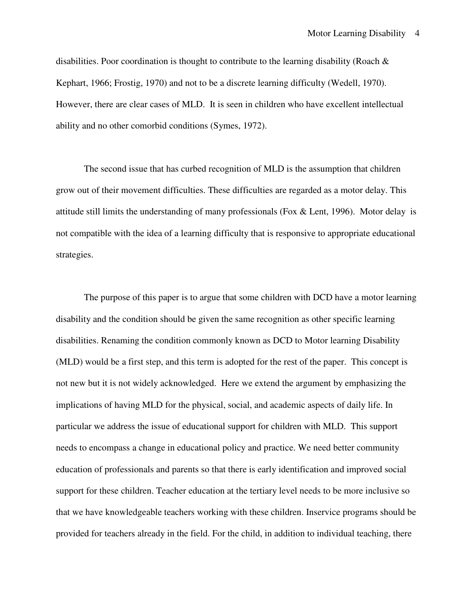disabilities. Poor coordination is thought to contribute to the learning disability (Roach & Kephart, 1966; Frostig, 1970) and not to be a discrete learning difficulty (Wedell, 1970). However, there are clear cases of MLD. It is seen in children who have excellent intellectual ability and no other comorbid conditions (Symes, 1972).

The second issue that has curbed recognition of MLD is the assumption that children grow out of their movement difficulties. These difficulties are regarded as a motor delay. This attitude still limits the understanding of many professionals (Fox  $\&$  Lent, 1996). Motor delay is not compatible with the idea of a learning difficulty that is responsive to appropriate educational strategies.

The purpose of this paper is to argue that some children with DCD have a motor learning disability and the condition should be given the same recognition as other specific learning disabilities. Renaming the condition commonly known as DCD to Motor learning Disability (MLD) would be a first step, and this term is adopted for the rest of the paper. This concept is not new but it is not widely acknowledged. Here we extend the argument by emphasizing the implications of having MLD for the physical, social, and academic aspects of daily life. In particular we address the issue of educational support for children with MLD. This support needs to encompass a change in educational policy and practice. We need better community education of professionals and parents so that there is early identification and improved social support for these children. Teacher education at the tertiary level needs to be more inclusive so that we have knowledgeable teachers working with these children. Inservice programs should be provided for teachers already in the field. For the child, in addition to individual teaching, there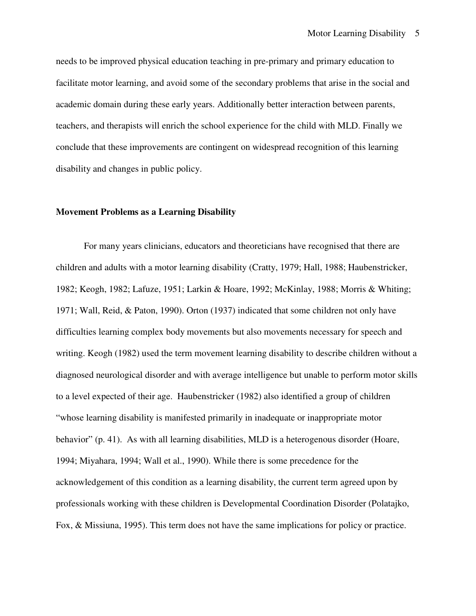needs to be improved physical education teaching in pre-primary and primary education to facilitate motor learning, and avoid some of the secondary problems that arise in the social and academic domain during these early years. Additionally better interaction between parents, teachers, and therapists will enrich the school experience for the child with MLD. Finally we conclude that these improvements are contingent on widespread recognition of this learning disability and changes in public policy.

# **Movement Problems as a Learning Disability**

For many years clinicians, educators and theoreticians have recognised that there are children and adults with a motor learning disability (Cratty, 1979; Hall, 1988; Haubenstricker, 1982; Keogh, 1982; Lafuze, 1951; Larkin & Hoare, 1992; McKinlay, 1988; Morris & Whiting; 1971; Wall, Reid, & Paton, 1990). Orton (1937) indicated that some children not only have difficulties learning complex body movements but also movements necessary for speech and writing. Keogh (1982) used the term movement learning disability to describe children without a diagnosed neurological disorder and with average intelligence but unable to perform motor skills to a level expected of their age. Haubenstricker (1982) also identified a group of children "whose learning disability is manifested primarily in inadequate or inappropriate motor behavior" (p. 41). As with all learning disabilities, MLD is a heterogenous disorder (Hoare, 1994; Miyahara, 1994; Wall et al., 1990). While there is some precedence for the acknowledgement of this condition as a learning disability, the current term agreed upon by professionals working with these children is Developmental Coordination Disorder (Polatajko, Fox, & Missiuna, 1995). This term does not have the same implications for policy or practice.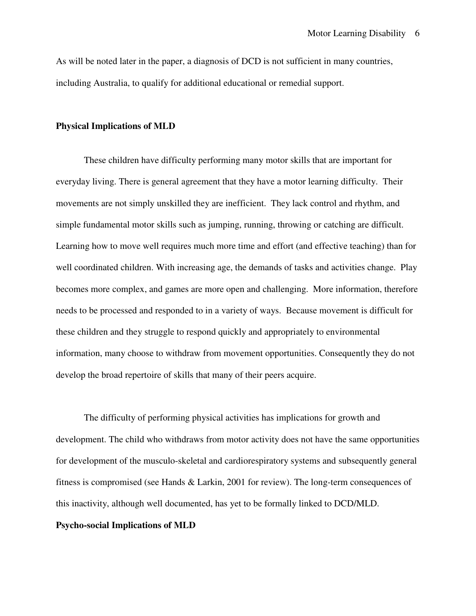As will be noted later in the paper, a diagnosis of DCD is not sufficient in many countries, including Australia, to qualify for additional educational or remedial support.

### **Physical Implications of MLD**

These children have difficulty performing many motor skills that are important for everyday living. There is general agreement that they have a motor learning difficulty. Their movements are not simply unskilled they are inefficient. They lack control and rhythm, and simple fundamental motor skills such as jumping, running, throwing or catching are difficult. Learning how to move well requires much more time and effort (and effective teaching) than for well coordinated children. With increasing age, the demands of tasks and activities change. Play becomes more complex, and games are more open and challenging. More information, therefore needs to be processed and responded to in a variety of ways. Because movement is difficult for these children and they struggle to respond quickly and appropriately to environmental information, many choose to withdraw from movement opportunities. Consequently they do not develop the broad repertoire of skills that many of their peers acquire.

 The difficulty of performing physical activities has implications for growth and development. The child who withdraws from motor activity does not have the same opportunities for development of the musculo-skeletal and cardiorespiratory systems and subsequently general fitness is compromised (see Hands & Larkin, 2001 for review). The long-term consequences of this inactivity, although well documented, has yet to be formally linked to DCD/MLD.

# **Psycho-social Implications of MLD**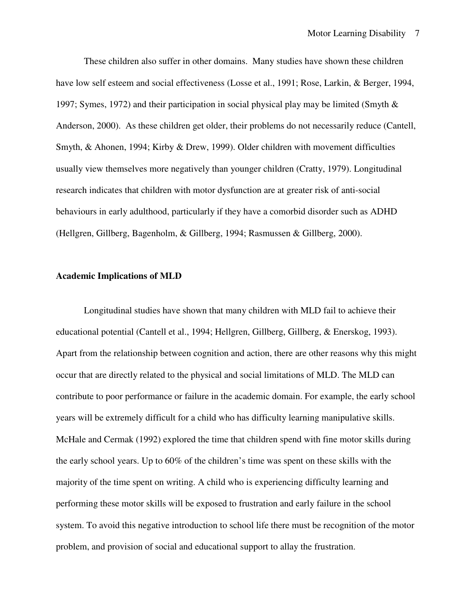These children also suffer in other domains. Many studies have shown these children have low self esteem and social effectiveness (Losse et al., 1991; Rose, Larkin, & Berger, 1994, 1997; Symes, 1972) and their participation in social physical play may be limited (Smyth & Anderson, 2000). As these children get older, their problems do not necessarily reduce (Cantell, Smyth, & Ahonen, 1994; Kirby & Drew, 1999). Older children with movement difficulties usually view themselves more negatively than younger children (Cratty, 1979). Longitudinal research indicates that children with motor dysfunction are at greater risk of anti-social behaviours in early adulthood, particularly if they have a comorbid disorder such as ADHD (Hellgren, Gillberg, Bagenholm, & Gillberg, 1994; Rasmussen & Gillberg, 2000).

### **Academic Implications of MLD**

Longitudinal studies have shown that many children with MLD fail to achieve their educational potential (Cantell et al., 1994; Hellgren, Gillberg, Gillberg, & Enerskog, 1993). Apart from the relationship between cognition and action, there are other reasons why this might occur that are directly related to the physical and social limitations of MLD. The MLD can contribute to poor performance or failure in the academic domain. For example, the early school years will be extremely difficult for a child who has difficulty learning manipulative skills. McHale and Cermak (1992) explored the time that children spend with fine motor skills during the early school years. Up to 60% of the children's time was spent on these skills with the majority of the time spent on writing. A child who is experiencing difficulty learning and performing these motor skills will be exposed to frustration and early failure in the school system. To avoid this negative introduction to school life there must be recognition of the motor problem, and provision of social and educational support to allay the frustration.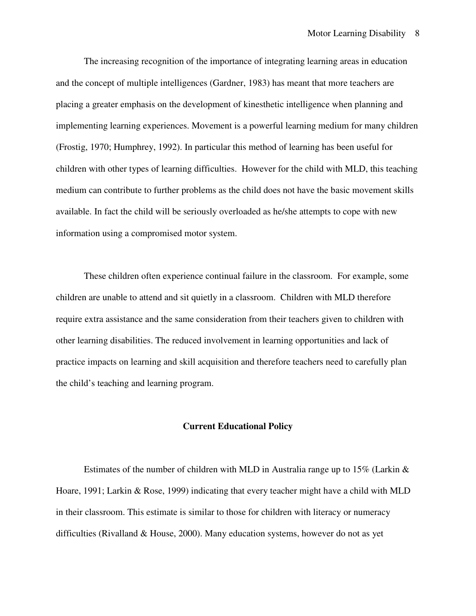The increasing recognition of the importance of integrating learning areas in education and the concept of multiple intelligences (Gardner, 1983) has meant that more teachers are placing a greater emphasis on the development of kinesthetic intelligence when planning and implementing learning experiences. Movement is a powerful learning medium for many children (Frostig, 1970; Humphrey, 1992). In particular this method of learning has been useful for children with other types of learning difficulties. However for the child with MLD, this teaching medium can contribute to further problems as the child does not have the basic movement skills available. In fact the child will be seriously overloaded as he/she attempts to cope with new information using a compromised motor system.

These children often experience continual failure in the classroom. For example, some children are unable to attend and sit quietly in a classroom. Children with MLD therefore require extra assistance and the same consideration from their teachers given to children with other learning disabilities. The reduced involvement in learning opportunities and lack of practice impacts on learning and skill acquisition and therefore teachers need to carefully plan the child's teaching and learning program.

### **Current Educational Policy**

Estimates of the number of children with MLD in Australia range up to  $15\%$  (Larkin  $\&$ Hoare, 1991; Larkin & Rose, 1999) indicating that every teacher might have a child with MLD in their classroom. This estimate is similar to those for children with literacy or numeracy difficulties (Rivalland & House, 2000). Many education systems, however do not as yet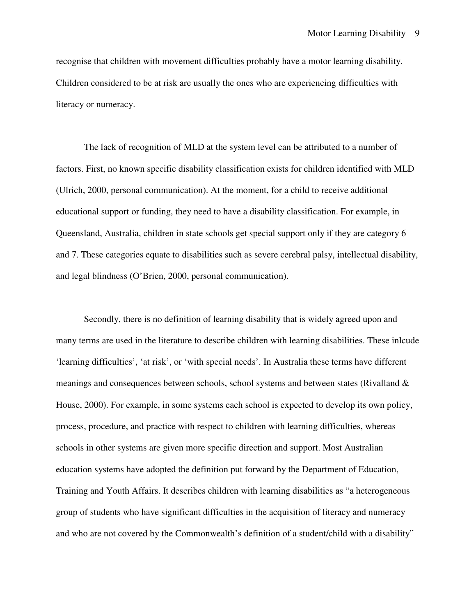recognise that children with movement difficulties probably have a motor learning disability. Children considered to be at risk are usually the ones who are experiencing difficulties with literacy or numeracy.

 The lack of recognition of MLD at the system level can be attributed to a number of factors. First, no known specific disability classification exists for children identified with MLD (Ulrich, 2000, personal communication). At the moment, for a child to receive additional educational support or funding, they need to have a disability classification. For example, in Queensland, Australia, children in state schools get special support only if they are category 6 and 7. These categories equate to disabilities such as severe cerebral palsy, intellectual disability, and legal blindness (O'Brien, 2000, personal communication).

 Secondly, there is no definition of learning disability that is widely agreed upon and many terms are used in the literature to describe children with learning disabilities. These inlcude 'learning difficulties', 'at risk', or 'with special needs'. In Australia these terms have different meanings and consequences between schools, school systems and between states (Rivalland & House, 2000). For example, in some systems each school is expected to develop its own policy, process, procedure, and practice with respect to children with learning difficulties, whereas schools in other systems are given more specific direction and support. Most Australian education systems have adopted the definition put forward by the Department of Education, Training and Youth Affairs. It describes children with learning disabilities as "a heterogeneous group of students who have significant difficulties in the acquisition of literacy and numeracy and who are not covered by the Commonwealth's definition of a student/child with a disability"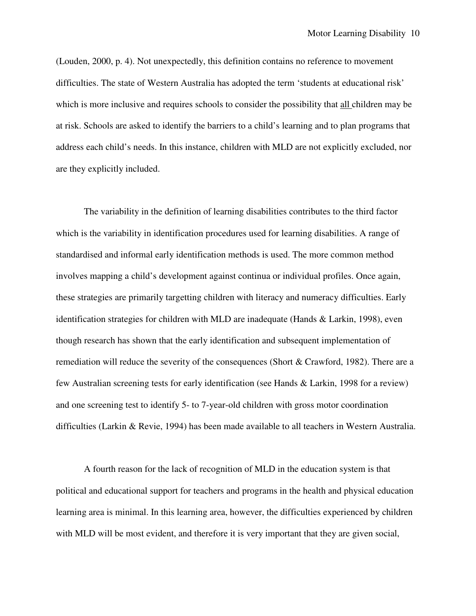(Louden, 2000, p. 4). Not unexpectedly, this definition contains no reference to movement difficulties. The state of Western Australia has adopted the term 'students at educational risk' which is more inclusive and requires schools to consider the possibility that all children may be at risk. Schools are asked to identify the barriers to a child's learning and to plan programs that address each child's needs. In this instance, children with MLD are not explicitly excluded, nor are they explicitly included.

 The variability in the definition of learning disabilities contributes to the third factor which is the variability in identification procedures used for learning disabilities. A range of standardised and informal early identification methods is used. The more common method involves mapping a child's development against continua or individual profiles. Once again, these strategies are primarily targetting children with literacy and numeracy difficulties. Early identification strategies for children with MLD are inadequate (Hands & Larkin, 1998), even though research has shown that the early identification and subsequent implementation of remediation will reduce the severity of the consequences (Short & Crawford, 1982). There are a few Australian screening tests for early identification (see Hands & Larkin, 1998 for a review) and one screening test to identify 5- to 7-year-old children with gross motor coordination difficulties (Larkin & Revie, 1994) has been made available to all teachers in Western Australia.

A fourth reason for the lack of recognition of MLD in the education system is that political and educational support for teachers and programs in the health and physical education learning area is minimal. In this learning area, however, the difficulties experienced by children with MLD will be most evident, and therefore it is very important that they are given social,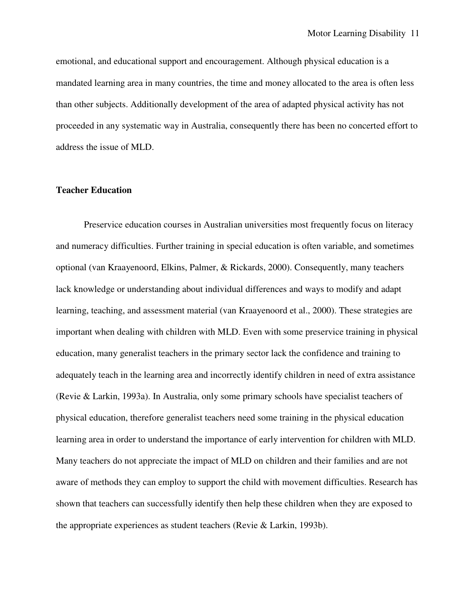emotional, and educational support and encouragement. Although physical education is a mandated learning area in many countries, the time and money allocated to the area is often less than other subjects. Additionally development of the area of adapted physical activity has not proceeded in any systematic way in Australia, consequently there has been no concerted effort to address the issue of MLD.

## **Teacher Education**

Preservice education courses in Australian universities most frequently focus on literacy and numeracy difficulties. Further training in special education is often variable, and sometimes optional (van Kraayenoord, Elkins, Palmer, & Rickards, 2000). Consequently, many teachers lack knowledge or understanding about individual differences and ways to modify and adapt learning, teaching, and assessment material (van Kraayenoord et al., 2000). These strategies are important when dealing with children with MLD. Even with some preservice training in physical education, many generalist teachers in the primary sector lack the confidence and training to adequately teach in the learning area and incorrectly identify children in need of extra assistance (Revie & Larkin, 1993a). In Australia, only some primary schools have specialist teachers of physical education, therefore generalist teachers need some training in the physical education learning area in order to understand the importance of early intervention for children with MLD. Many teachers do not appreciate the impact of MLD on children and their families and are not aware of methods they can employ to support the child with movement difficulties. Research has shown that teachers can successfully identify then help these children when they are exposed to the appropriate experiences as student teachers (Revie & Larkin, 1993b).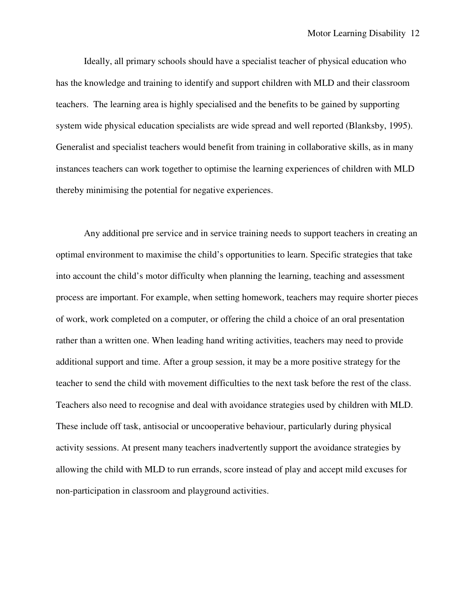Ideally, all primary schools should have a specialist teacher of physical education who has the knowledge and training to identify and support children with MLD and their classroom teachers. The learning area is highly specialised and the benefits to be gained by supporting system wide physical education specialists are wide spread and well reported (Blanksby, 1995). Generalist and specialist teachers would benefit from training in collaborative skills, as in many instances teachers can work together to optimise the learning experiences of children with MLD thereby minimising the potential for negative experiences.

 Any additional pre service and in service training needs to support teachers in creating an optimal environment to maximise the child's opportunities to learn. Specific strategies that take into account the child's motor difficulty when planning the learning, teaching and assessment process are important. For example, when setting homework, teachers may require shorter pieces of work, work completed on a computer, or offering the child a choice of an oral presentation rather than a written one. When leading hand writing activities, teachers may need to provide additional support and time. After a group session, it may be a more positive strategy for the teacher to send the child with movement difficulties to the next task before the rest of the class. Teachers also need to recognise and deal with avoidance strategies used by children with MLD. These include off task, antisocial or uncooperative behaviour, particularly during physical activity sessions. At present many teachers inadvertently support the avoidance strategies by allowing the child with MLD to run errands, score instead of play and accept mild excuses for non-participation in classroom and playground activities.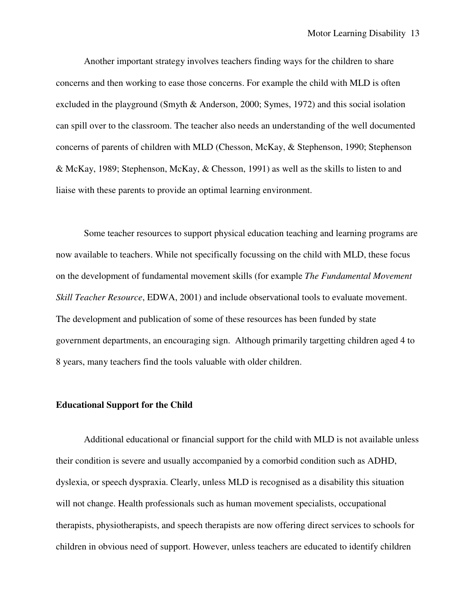Another important strategy involves teachers finding ways for the children to share concerns and then working to ease those concerns. For example the child with MLD is often excluded in the playground (Smyth & Anderson, 2000; Symes, 1972) and this social isolation can spill over to the classroom. The teacher also needs an understanding of the well documented concerns of parents of children with MLD (Chesson, McKay, & Stephenson, 1990; Stephenson & McKay, 1989; Stephenson, McKay, & Chesson, 1991) as well as the skills to listen to and liaise with these parents to provide an optimal learning environment.

 Some teacher resources to support physical education teaching and learning programs are now available to teachers. While not specifically focussing on the child with MLD, these focus on the development of fundamental movement skills (for example *The Fundamental Movement Skill Teacher Resource*, EDWA, 2001) and include observational tools to evaluate movement. The development and publication of some of these resources has been funded by state government departments, an encouraging sign. Although primarily targetting children aged 4 to 8 years, many teachers find the tools valuable with older children.

# **Educational Support for the Child**

 Additional educational or financial support for the child with MLD is not available unless their condition is severe and usually accompanied by a comorbid condition such as ADHD, dyslexia, or speech dyspraxia. Clearly, unless MLD is recognised as a disability this situation will not change. Health professionals such as human movement specialists, occupational therapists, physiotherapists, and speech therapists are now offering direct services to schools for children in obvious need of support. However, unless teachers are educated to identify children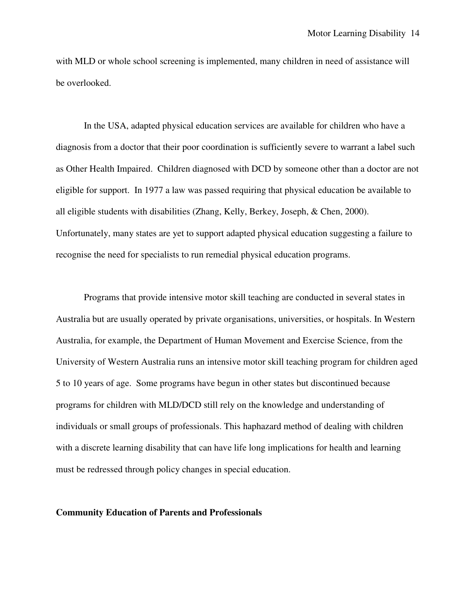with MLD or whole school screening is implemented, many children in need of assistance will be overlooked.

In the USA, adapted physical education services are available for children who have a diagnosis from a doctor that their poor coordination is sufficiently severe to warrant a label such as Other Health Impaired. Children diagnosed with DCD by someone other than a doctor are not eligible for support. In 1977 a law was passed requiring that physical education be available to all eligible students with disabilities (Zhang, Kelly, Berkey, Joseph, & Chen, 2000). Unfortunately, many states are yet to support adapted physical education suggesting a failure to recognise the need for specialists to run remedial physical education programs.

Programs that provide intensive motor skill teaching are conducted in several states in Australia but are usually operated by private organisations, universities, or hospitals. In Western Australia, for example, the Department of Human Movement and Exercise Science, from the University of Western Australia runs an intensive motor skill teaching program for children aged 5 to 10 years of age. Some programs have begun in other states but discontinued because programs for children with MLD/DCD still rely on the knowledge and understanding of individuals or small groups of professionals. This haphazard method of dealing with children with a discrete learning disability that can have life long implications for health and learning must be redressed through policy changes in special education.

### **Community Education of Parents and Professionals**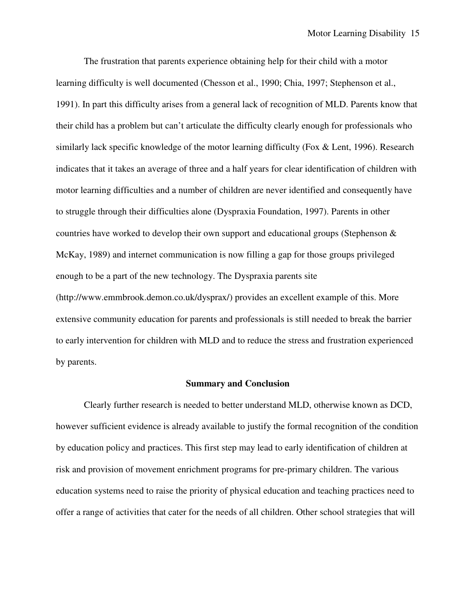The frustration that parents experience obtaining help for their child with a motor learning difficulty is well documented (Chesson et al., 1990; Chia, 1997; Stephenson et al., 1991). In part this difficulty arises from a general lack of recognition of MLD. Parents know that their child has a problem but can't articulate the difficulty clearly enough for professionals who similarly lack specific knowledge of the motor learning difficulty (Fox & Lent, 1996). Research indicates that it takes an average of three and a half years for clear identification of children with motor learning difficulties and a number of children are never identified and consequently have to struggle through their difficulties alone (Dyspraxia Foundation, 1997). Parents in other countries have worked to develop their own support and educational groups (Stephenson & McKay, 1989) and internet communication is now filling a gap for those groups privileged enough to be a part of the new technology. The Dyspraxia parents site (http://www.emmbrook.demon.co.uk/dysprax/) provides an excellent example of this. More extensive community education for parents and professionals is still needed to break the barrier to early intervention for children with MLD and to reduce the stress and frustration experienced by parents.

## **Summary and Conclusion**

 Clearly further research is needed to better understand MLD, otherwise known as DCD, however sufficient evidence is already available to justify the formal recognition of the condition by education policy and practices. This first step may lead to early identification of children at risk and provision of movement enrichment programs for pre-primary children. The various education systems need to raise the priority of physical education and teaching practices need to offer a range of activities that cater for the needs of all children. Other school strategies that will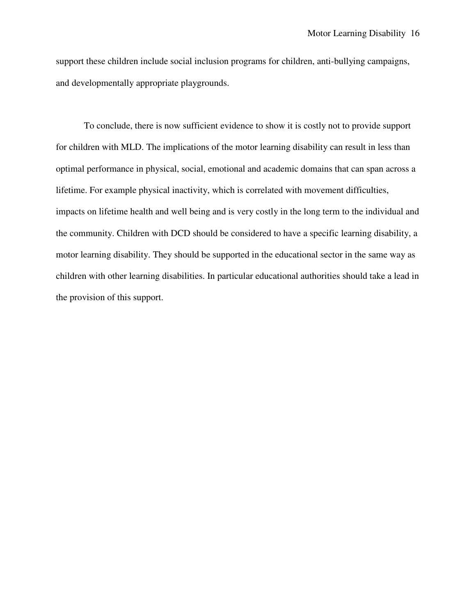support these children include social inclusion programs for children, anti-bullying campaigns, and developmentally appropriate playgrounds.

 To conclude, there is now sufficient evidence to show it is costly not to provide support for children with MLD. The implications of the motor learning disability can result in less than optimal performance in physical, social, emotional and academic domains that can span across a lifetime. For example physical inactivity, which is correlated with movement difficulties, impacts on lifetime health and well being and is very costly in the long term to the individual and the community. Children with DCD should be considered to have a specific learning disability, a motor learning disability. They should be supported in the educational sector in the same way as children with other learning disabilities. In particular educational authorities should take a lead in the provision of this support.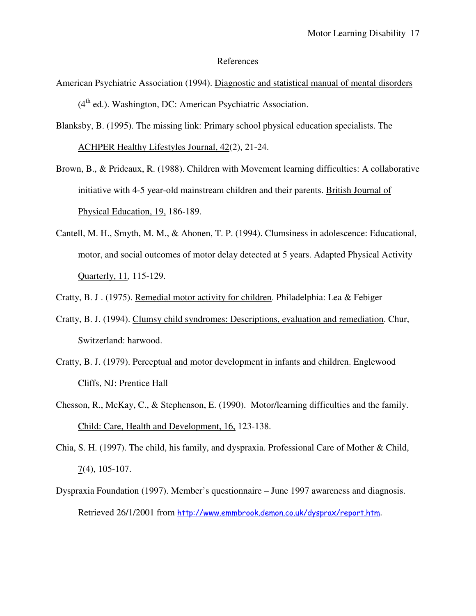#### References

- American Psychiatric Association (1994). Diagnostic and statistical manual of mental disorders  $(4<sup>th</sup>$  ed.). Washington, DC: American Psychiatric Association.
- Blanksby, B. (1995). The missing link: Primary school physical education specialists. The ACHPER Healthy Lifestyles Journal, 42(2), 21-24.
- Brown, B., & Prideaux, R. (1988). Children with Movement learning difficulties: A collaborative initiative with 4-5 year-old mainstream children and their parents. British Journal of Physical Education, 19, 186-189.
- Cantell, M. H., Smyth, M. M., & Ahonen, T. P. (1994). Clumsiness in adolescence: Educational, motor, and social outcomes of motor delay detected at 5 years. Adapted Physical Activity Quarterly, 11*,* 115-129.
- Cratty, B. J . (1975). Remedial motor activity for children. Philadelphia: Lea & Febiger
- Cratty, B. J. (1994). Clumsy child syndromes: Descriptions, evaluation and remediation. Chur, Switzerland: harwood.
- Cratty, B. J. (1979). Perceptual and motor development in infants and children. Englewood Cliffs, NJ: Prentice Hall
- Chesson, R., McKay, C., & Stephenson, E. (1990). Motor/learning difficulties and the family. Child: Care, Health and Development, 16, 123-138.
- Chia, S. H. (1997). The child, his family, and dyspraxia. Professional Care of Mother & Child, 7(4), 105-107.
- Dyspraxia Foundation (1997). Member's questionnaire June 1997 awareness and diagnosis. Retrieved 26/1/2001 from http://www.emmbrook.demon.co.uk/dysprax/report.htm.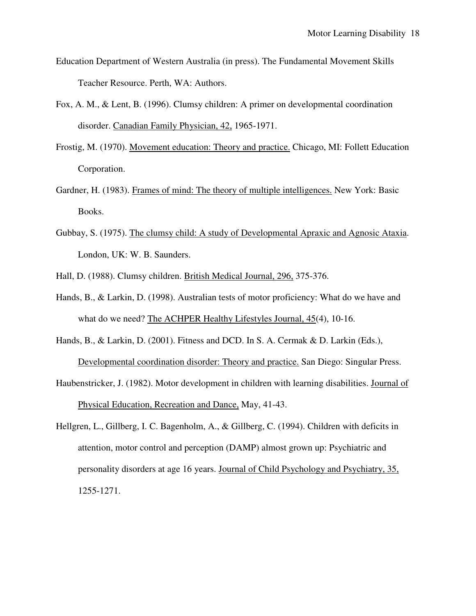- Education Department of Western Australia (in press). The Fundamental Movement Skills Teacher Resource. Perth, WA: Authors.
- Fox, A. M., & Lent, B. (1996). Clumsy children: A primer on developmental coordination disorder. Canadian Family Physician, 42, 1965-1971.
- Frostig, M. (1970). Movement education: Theory and practice. Chicago, MI: Follett Education Corporation.
- Gardner, H. (1983). Frames of mind: The theory of multiple intelligences. New York: Basic Books.
- Gubbay, S. (1975). The clumsy child: A study of Developmental Apraxic and Agnosic Ataxia. London, UK: W. B. Saunders.
- Hall, D. (1988). Clumsy children. British Medical Journal, 296, 375-376.
- Hands, B., & Larkin, D. (1998). Australian tests of motor proficiency: What do we have and what do we need? The ACHPER Healthy Lifestyles Journal, 45(4), 10-16.
- Hands, B., & Larkin, D. (2001). Fitness and DCD. In S. A. Cermak & D. Larkin (Eds.), Developmental coordination disorder: Theory and practice. San Diego: Singular Press.
- Haubenstricker, J. (1982). Motor development in children with learning disabilities. Journal of Physical Education, Recreation and Dance, May, 41-43.
- Hellgren, L., Gillberg, I. C. Bagenholm, A., & Gillberg, C. (1994). Children with deficits in attention, motor control and perception (DAMP) almost grown up: Psychiatric and personality disorders at age 16 years. Journal of Child Psychology and Psychiatry, 35, 1255-1271.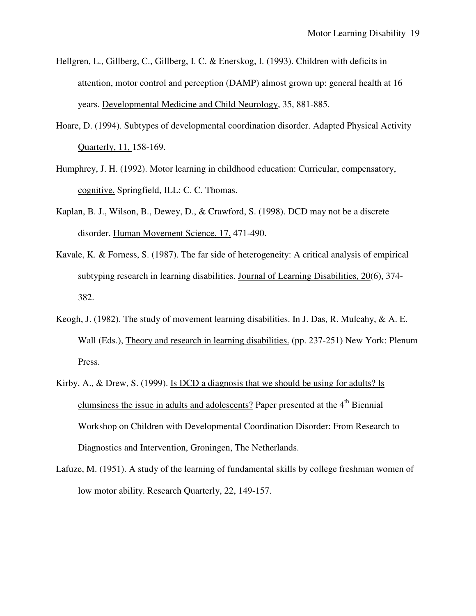- Hellgren, L., Gillberg, C., Gillberg, I. C. & Enerskog, I. (1993). Children with deficits in attention, motor control and perception (DAMP) almost grown up: general health at 16 years. Developmental Medicine and Child Neurology, 35, 881-885.
- Hoare, D. (1994). Subtypes of developmental coordination disorder. Adapted Physical Activity Quarterly, 11, 158-169.
- Humphrey, J. H. (1992). Motor learning in childhood education: Curricular, compensatory, cognitive. Springfield, ILL: C. C. Thomas.
- Kaplan, B. J., Wilson, B., Dewey, D., & Crawford, S. (1998). DCD may not be a discrete disorder. Human Movement Science, 17, 471-490.
- Kavale, K. & Forness, S. (1987). The far side of heterogeneity: A critical analysis of empirical subtyping research in learning disabilities. Journal of Learning Disabilities, 20(6), 374- 382.
- Keogh, J. (1982). The study of movement learning disabilities. In J. Das, R. Mulcahy, & A. E. Wall (Eds.), Theory and research in learning disabilities. (pp. 237-251) New York: Plenum Press.
- Kirby, A., & Drew, S. (1999). Is DCD a diagnosis that we should be using for adults? Is clumsiness the issue in adults and adolescents? Paper presented at the 4<sup>th</sup> Biennial Workshop on Children with Developmental Coordination Disorder: From Research to Diagnostics and Intervention, Groningen, The Netherlands.
- Lafuze, M. (1951). A study of the learning of fundamental skills by college freshman women of low motor ability. Research Quarterly, 22, 149-157.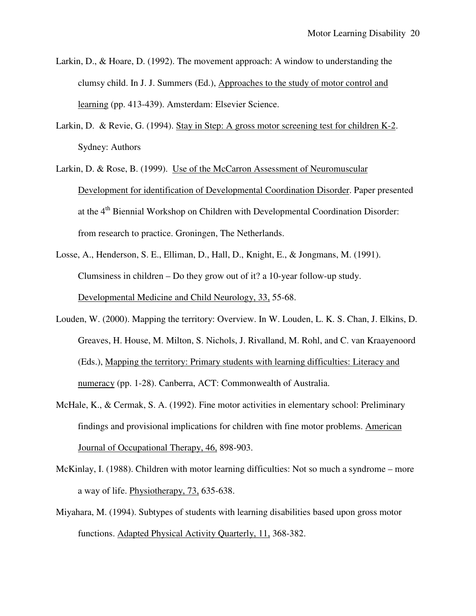- Larkin, D., & Hoare, D. (1992). The movement approach: A window to understanding the clumsy child. In J. J. Summers (Ed.), Approaches to the study of motor control and learning (pp. 413-439). Amsterdam: Elsevier Science.
- Larkin, D. & Revie, G. (1994). Stay in Step: A gross motor screening test for children K-2. Sydney: Authors
- Larkin, D. & Rose, B. (1999). Use of the McCarron Assessment of Neuromuscular Development for identification of Developmental Coordination Disorder. Paper presented at the 4<sup>th</sup> Biennial Workshop on Children with Developmental Coordination Disorder: from research to practice. Groningen, The Netherlands.
- Losse, A., Henderson, S. E., Elliman, D., Hall, D., Knight, E., & Jongmans, M. (1991). Clumsiness in children – Do they grow out of it? a 10-year follow-up study. Developmental Medicine and Child Neurology, 33, 55-68.
- Louden, W. (2000). Mapping the territory: Overview. In W. Louden, L. K. S. Chan, J. Elkins, D. Greaves, H. House, M. Milton, S. Nichols, J. Rivalland, M. Rohl, and C. van Kraayenoord (Eds.), Mapping the territory: Primary students with learning difficulties: Literacy and numeracy (pp. 1-28). Canberra, ACT: Commonwealth of Australia.
- McHale, K., & Cermak, S. A. (1992). Fine motor activities in elementary school: Preliminary findings and provisional implications for children with fine motor problems. American Journal of Occupational Therapy, 46, 898-903.
- McKinlay, I. (1988). Children with motor learning difficulties: Not so much a syndrome more a way of life. Physiotherapy, 73, 635-638.
- Miyahara, M. (1994). Subtypes of students with learning disabilities based upon gross motor functions. Adapted Physical Activity Quarterly, 11, 368-382.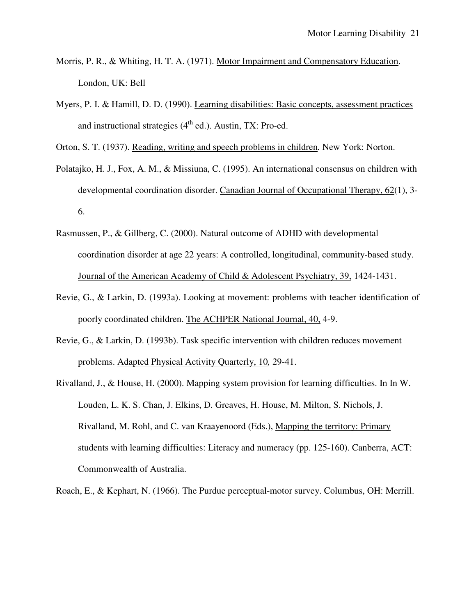- Morris, P. R., & Whiting, H. T. A. (1971). Motor Impairment and Compensatory Education. London, UK: Bell
- Myers, P. I. & Hamill, D. D. (1990). Learning disabilities: Basic concepts, assessment practices and instructional strategies  $(4^{th}$  ed.). Austin, TX: Pro-ed.

Orton, S. T. (1937). Reading, writing and speech problems in children*.* New York: Norton.

- Polatajko, H. J., Fox, A. M., & Missiuna, C. (1995). An international consensus on children with developmental coordination disorder. Canadian Journal of Occupational Therapy, 62(1), 3- 6.
- Rasmussen, P., & Gillberg, C. (2000). Natural outcome of ADHD with developmental coordination disorder at age 22 years: A controlled, longitudinal, community-based study. Journal of the American Academy of Child & Adolescent Psychiatry, 39, 1424-1431.
- Revie, G., & Larkin, D. (1993a). Looking at movement: problems with teacher identification of poorly coordinated children. The ACHPER National Journal, 40, 4-9.
- Revie, G., & Larkin, D. (1993b). Task specific intervention with children reduces movement problems. Adapted Physical Activity Quarterly, 10*,* 29-41.
- Rivalland, J., & House, H. (2000). Mapping system provision for learning difficulties. In In W. Louden, L. K. S. Chan, J. Elkins, D. Greaves, H. House, M. Milton, S. Nichols, J. Rivalland, M. Rohl, and C. van Kraayenoord (Eds.), Mapping the territory: Primary students with learning difficulties: Literacy and numeracy (pp. 125-160). Canberra, ACT: Commonwealth of Australia.

Roach, E., & Kephart, N. (1966). The Purdue perceptual-motor survey. Columbus, OH: Merrill.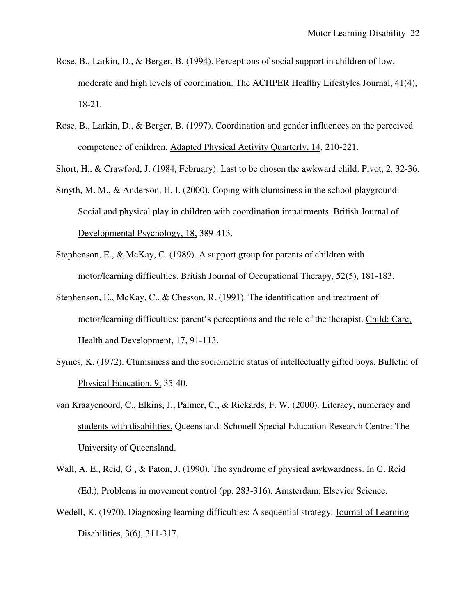- Rose, B., Larkin, D., & Berger, B. (1994). Perceptions of social support in children of low, moderate and high levels of coordination. The ACHPER Healthy Lifestyles Journal, 41(4), 18-21.
- Rose, B., Larkin, D., & Berger, B. (1997). Coordination and gender influences on the perceived competence of children. Adapted Physical Activity Quarterly, 14*,* 210-221.

Short, H., & Crawford, J. (1984, February). Last to be chosen the awkward child. Pivot, 2*,* 32-36.

- Smyth, M. M., & Anderson, H. I. (2000). Coping with clumsiness in the school playground: Social and physical play in children with coordination impairments. British Journal of Developmental Psychology, 18, 389-413.
- Stephenson, E., & McKay, C. (1989). A support group for parents of children with motor/learning difficulties. British Journal of Occupational Therapy, 52(5), 181-183.
- Stephenson, E., McKay, C., & Chesson, R. (1991). The identification and treatment of motor/learning difficulties: parent's perceptions and the role of the therapist. Child: Care, Health and Development, 17, 91-113.
- Symes, K. (1972). Clumsiness and the sociometric status of intellectually gifted boys. Bulletin of Physical Education, 9, 35-40.
- van Kraayenoord, C., Elkins, J., Palmer, C., & Rickards, F. W. (2000). Literacy, numeracy and students with disabilities. Queensland: Schonell Special Education Research Centre: The University of Queensland.
- Wall, A. E., Reid, G., & Paton, J. (1990). The syndrome of physical awkwardness. In G. Reid (Ed.), Problems in movement control (pp. 283-316). Amsterdam: Elsevier Science.
- Wedell, K. (1970). Diagnosing learning difficulties: A sequential strategy. Journal of Learning Disabilities, 3(6), 311-317.